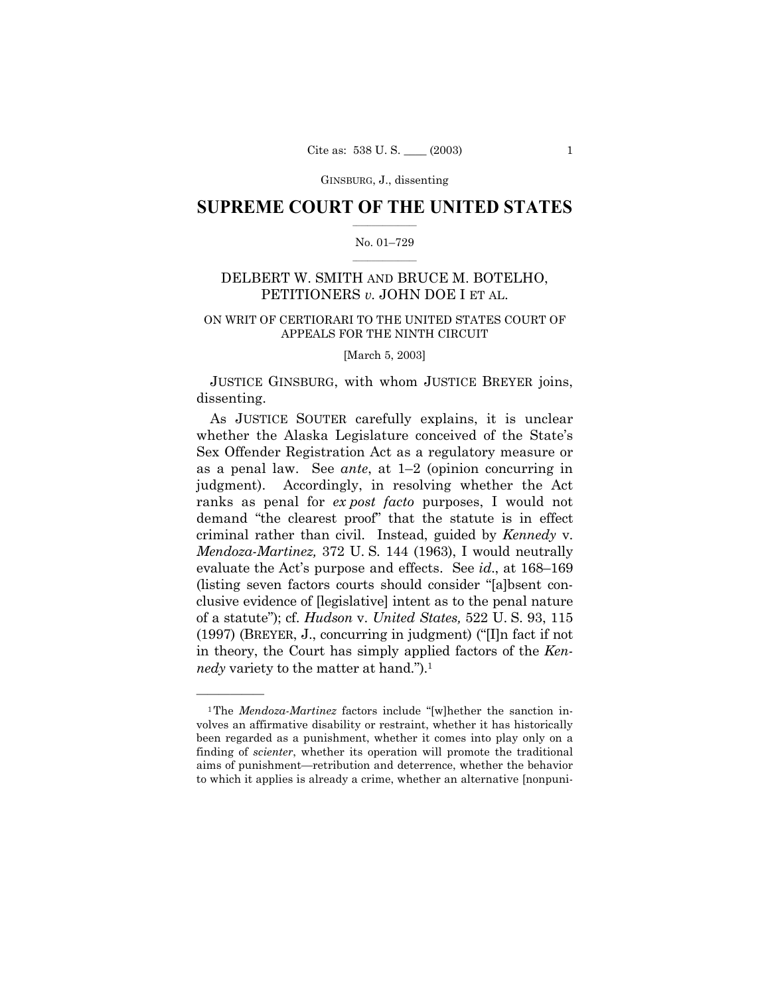GINSBURG, J., dissenting

# **SUPREME COURT OF THE UNITED STATES**

## No. 01-729

## DELBERT W. SMITH AND BRUCE M. BOTELHO, PETITIONERS v. JOHN DOE I ET AL.

## ON WRIT OF CERTIORARI TO THE UNITED STATES COURT OF APPEALS FOR THE NINTH CIRCUIT

[March 5, 2003]

JUSTICE GINSBURG, with whom JUSTICE BREYER joins, dissenting.

As JUSTICE SOUTER carefully explains, it is unclear whether the Alaska Legislature conceived of the State's Sex Offender Registration Act as a regulatory measure or as a penal law. See *ante*, at  $1-2$  (opinion concurring in judgment). Accordingly, in resolving whether the Act ranks as penal for *ex post facto* purposes, I would not demand "the clearest proof" that the statute is in effect criminal rather than civil. Instead, guided by *Kennedy v.* Mendoza-Martinez, 372 U.S. 144 (1963), I would neutrally evaluate the Act's purpose and effects. See *id.*, at 168–169 (listing seven factors courts should consider "albsent conclusive evidence of [legislative] intent as to the penal nature of a statute"); cf. Hudson v. United States, 522 U.S. 93, 115 (1997) (BREYER, J., concurring in judgment) ("[I]n fact if not in theory, the Court has simply applied factors of the Ken*nedy* variety to the matter at hand.").<sup>1</sup>

<sup>&</sup>lt;sup>1</sup>The *Mendoza-Martinez* factors include "[w]hether the sanction involves an affirmative disability or restraint, whether it has historically been regarded as a punishment, whether it comes into play only on a finding of *scienter*, whether its operation will promote the traditional aims of punishment—retribution and deterrence, whether the behavior to which it applies is already a crime, whether an alternative [nonpuni-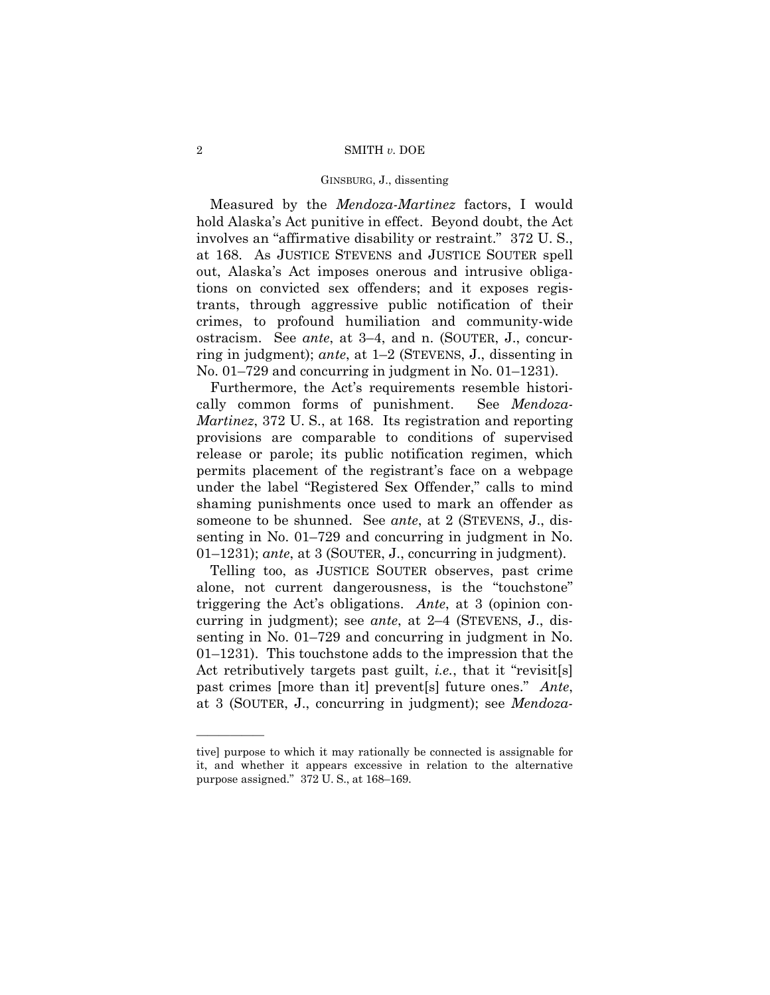#### 2 SMITH *v.* DOE

#### GINSBURG, J., dissenting

Measured by the *Mendoza-Martinez* factors, I would hold Alaska's Act punitive in effect. Beyond doubt, the Act involves an "affirmative disability or restraint." 372 U.S., at 168. As JUSTICE STEVENS and JUSTICE SOUTER spell out, Alaskaís Act imposes onerous and intrusive obligations on convicted sex offenders; and it exposes registrants, through aggressive public notification of their crimes, to profound humiliation and community-wide ostracism. See *ante*, at 3-4, and n. (SOUTER, J., concurring in judgment); *ante*, at 1–2 (STEVENS, J., dissenting in No.  $01-729$  and concurring in judgment in No.  $01-1231$ .

Furthermore, the Act's requirements resemble historically common forms of punishment. See *Mendoza-Martinez*, 372 U. S., at 168. Its registration and reporting provisions are comparable to conditions of supervised release or parole; its public notification regimen, which permits placement of the registrant's face on a webpage under the label "Registered Sex Offender," calls to mind shaming punishments once used to mark an offender as someone to be shunned. See *ante*, at 2 (STEVENS, J., dissenting in No.  $01-729$  and concurring in judgment in No.  $01-1231$ ; *ante*, at 3 (SOUTER, J., concurring in judgment).

Telling too, as JUSTICE SOUTER observes, past crime alone, not current dangerousness, is the "touchstone" triggering the Act's obligations. *Ante*, at 3 (opinion concurring in judgment); see *ante*, at 2–4 (STEVENS, J., dissenting in No.  $01-729$  and concurring in judgment in No.  $01-1231$ . This touchstone adds to the impression that the Act retributively targets past guilt, *i.e.*, that it "revisit[s] past crimes [more than it] prevent<sup>[s]</sup> future ones.<sup>n</sup> *Ante*, at 3 (SOUTER, J., concurring in judgment); see *Mendoza-*

<u>óóóóóóóóóóóóóó</u>

tive] purpose to which it may rationally be connected is assignable for it, and whether it appears excessive in relation to the alternative purpose assigned."  $372$  U. S., at  $168-169$ .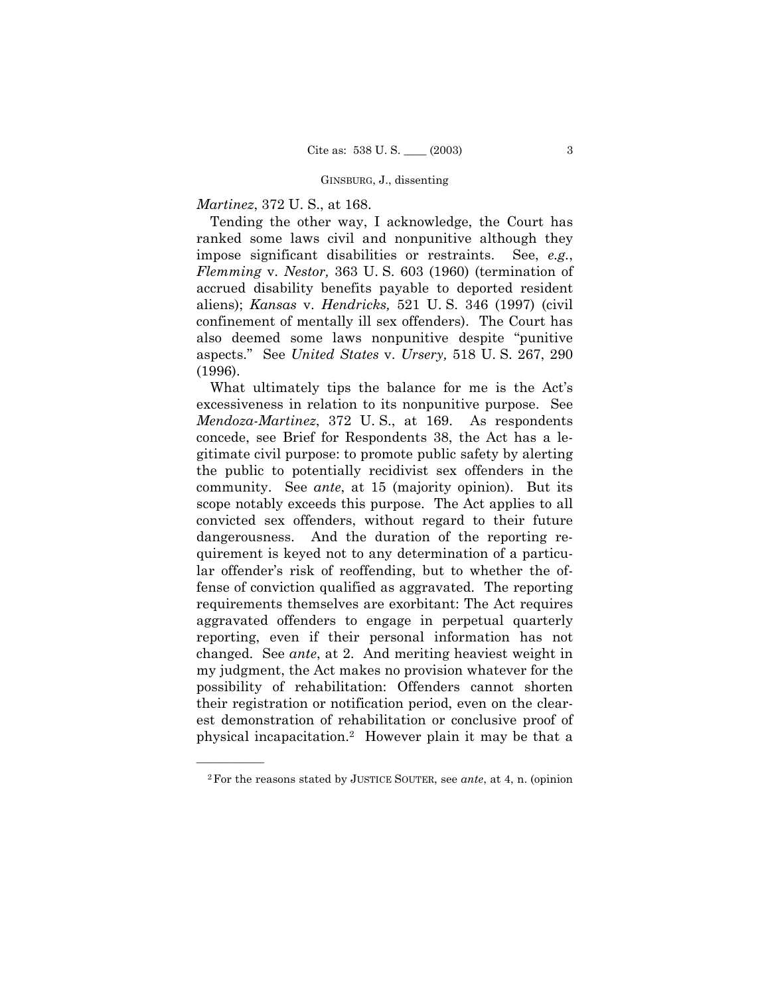#### GINSBURG, J., dissenting

## *Martinez*, 372 U. S., at 168.

Tending the other way, I acknowledge, the Court has ranked some laws civil and nonpunitive although they impose significant disabilities or restraints. See, *e.g.*, *Flemming* v. *Nestor,* 363 U. S. 603 (1960) (termination of accrued disability benefits payable to deported resident aliens); *Kansas* v. *Hendricks,* 521 U. S. 346 (1997) (civil confinement of mentally ill sex offenders). The Court has also deemed some laws nonpunitive despite "punitive aspects.î See *United States* v. *Ursery,* 518 U. S. 267, 290 (1996).

What ultimately tips the balance for me is the Act's excessiveness in relation to its nonpunitive purpose. See *Mendoza-Martinez*, 372 U. S., at 169. As respondents concede, see Brief for Respondents 38, the Act has a legitimate civil purpose: to promote public safety by alerting the public to potentially recidivist sex offenders in the community. See *ante*, at 15 (majority opinion). But its scope notably exceeds this purpose. The Act applies to all convicted sex offenders, without regard to their future dangerousness. And the duration of the reporting requirement is keyed not to any determination of a particular offender's risk of reoffending, but to whether the offense of conviction qualified as aggravated. The reporting requirements themselves are exorbitant: The Act requires aggravated offenders to engage in perpetual quarterly reporting, even if their personal information has not changed. See *ante*, at 2. And meriting heaviest weight in my judgment, the Act makes no provision whatever for the possibility of rehabilitation: Offenders cannot shorten their registration or notification period, even on the clearest demonstration of rehabilitation or conclusive proof of physical incapacitation.2 However plain it may be that a

<u>óóóóóóóóóóóóóó</u>

<sup>2</sup>For the reasons stated by JUSTICE SOUTER, see *ante*, at 4, n. (opinion